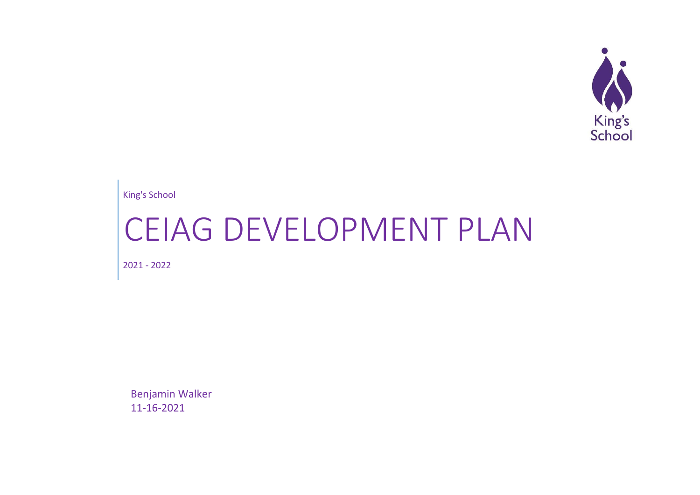

King's School

# CEIAG DEVELOPMENT PLAN

2021 - 2022

Benjamin Walker 11-16-2021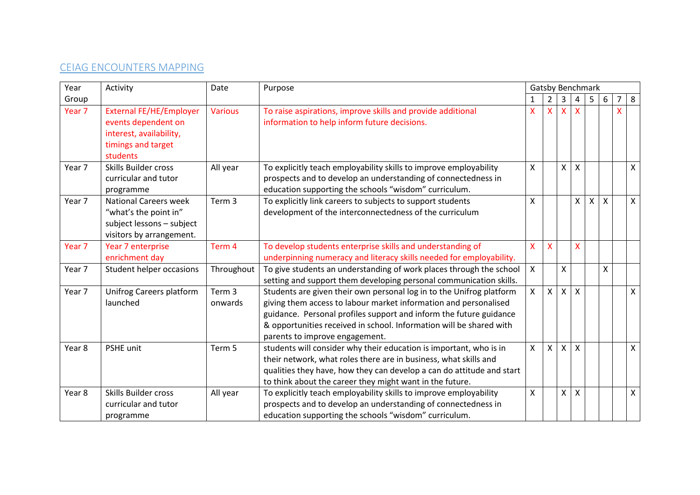# CEIAG ENCOUNTERS MAPPING

| Year              | Activity                                                                                                           | Date                         | Purpose                                                                                                                                                                                                                                                                                                                 |              | Gatsby Benchmark        |                |                           |   |         |   |              |
|-------------------|--------------------------------------------------------------------------------------------------------------------|------------------------------|-------------------------------------------------------------------------------------------------------------------------------------------------------------------------------------------------------------------------------------------------------------------------------------------------------------------------|--------------|-------------------------|----------------|---------------------------|---|---------|---|--------------|
| Group             |                                                                                                                    |                              |                                                                                                                                                                                                                                                                                                                         |              | 2                       | 3              | 4                         | 5 | 6       | 7 | 8            |
| Year <sub>7</sub> | <b>External FE/HE/Employer</b><br>events dependent on<br>interest, availability,<br>timings and target<br>students | <b>Various</b>               | To raise aspirations, improve skills and provide additional<br>information to help inform future decisions.                                                                                                                                                                                                             | X            | $\overline{\mathsf{x}}$ | $\mathsf{X}^-$ | $\boldsymbol{\mathsf{X}}$ |   |         | X |              |
| Year 7            | <b>Skills Builder cross</b><br>curricular and tutor<br>programme                                                   | All year                     | To explicitly teach employability skills to improve employability<br>prospects and to develop an understanding of connectedness in<br>education supporting the schools "wisdom" curriculum.                                                                                                                             | Χ            |                         | $\times$       | X                         |   |         |   | X            |
| Year 7            | <b>National Careers week</b><br>"what's the point in"<br>subject lessons - subject<br>visitors by arrangement.     | Term <sub>3</sub>            | To explicitly link careers to subjects to support students<br>development of the interconnectedness of the curriculum                                                                                                                                                                                                   | X            |                         |                | X                         | X | $\sf X$ |   | $\mathsf{X}$ |
| Year <sub>7</sub> | Year 7 enterprise<br>enrichment day                                                                                | Term 4                       | To develop students enterprise skills and understanding of<br>underpinning numeracy and literacy skills needed for employability.                                                                                                                                                                                       | X            | X                       |                | X                         |   |         |   |              |
| Year 7            | <b>Student helper occasions</b>                                                                                    | Throughout                   | To give students an understanding of work places through the school<br>setting and support them developing personal communication skills.                                                                                                                                                                               | $\mathsf{X}$ |                         | X              |                           |   | X       |   |              |
| Year 7            | Unifrog Careers platform<br>launched                                                                               | Term <sub>3</sub><br>onwards | Students are given their own personal log in to the Unifrog platform<br>giving them access to labour market information and personalised<br>guidance. Personal profiles support and inform the future guidance<br>& opportunities received in school. Information will be shared with<br>parents to improve engagement. | $\mathsf{X}$ | $\mathsf{X}$            | $x \mid$       | $\mathsf{x}$              |   |         |   | $\mathsf{X}$ |
| Year 8            | PSHE unit                                                                                                          | Term 5                       | students will consider why their education is important, who is in<br>their network, what roles there are in business, what skills and<br>qualities they have, how they can develop a can do attitude and start<br>to think about the career they might want in the future.                                             | X            | X                       |                | $x \mid x$                |   |         |   | $\mathsf{X}$ |
| Year 8            | Skills Builder cross<br>curricular and tutor<br>programme                                                          | All year                     | To explicitly teach employability skills to improve employability<br>prospects and to develop an understanding of connectedness in<br>education supporting the schools "wisdom" curriculum.                                                                                                                             | Χ            |                         |                | $X$ $X$                   |   |         |   | $\mathsf{X}$ |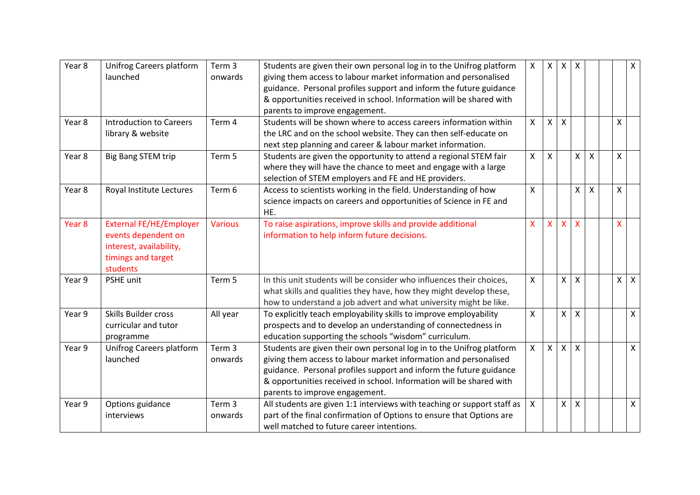| Year 8 | <b>Unifrog Careers platform</b> | Term <sub>3</sub> | Students are given their own personal log in to the Unifrog platform    | $\mathsf{X}$              | $\mathsf{X}^-$ | $\mathsf{X}$ | $\boldsymbol{\mathsf{X}}$ |                           |              | X            |
|--------|---------------------------------|-------------------|-------------------------------------------------------------------------|---------------------------|----------------|--------------|---------------------------|---------------------------|--------------|--------------|
|        | launched                        | onwards           | giving them access to labour market information and personalised        |                           |                |              |                           |                           |              |              |
|        |                                 |                   | guidance. Personal profiles support and inform the future guidance      |                           |                |              |                           |                           |              |              |
|        |                                 |                   | & opportunities received in school. Information will be shared with     |                           |                |              |                           |                           |              |              |
|        |                                 |                   | parents to improve engagement.                                          |                           |                |              |                           |                           |              |              |
| Year 8 | <b>Introduction to Careers</b>  | Term 4            | Students will be shown where to access careers information within       | $\mathsf{X}$              | $\mathsf{X}$   | $\mathsf{x}$ |                           |                           | X            |              |
|        | library & website               |                   | the LRC and on the school website. They can then self-educate on        |                           |                |              |                           |                           |              |              |
|        |                                 |                   | next step planning and career & labour market information.              |                           |                |              |                           |                           |              |              |
| Year 8 | <b>Big Bang STEM trip</b>       | Term 5            | Students are given the opportunity to attend a regional STEM fair       | $\mathsf{X}$              | X              |              | X                         | $\boldsymbol{\mathsf{X}}$ | X            |              |
|        |                                 |                   | where they will have the chance to meet and engage with a large         |                           |                |              |                           |                           |              |              |
|        |                                 |                   | selection of STEM employers and FE and HE providers.                    |                           |                |              |                           |                           |              |              |
| Year 8 | Royal Institute Lectures        | Term 6            | Access to scientists working in the field. Understanding of how         | $\boldsymbol{\mathsf{X}}$ |                |              | X                         | $\boldsymbol{\mathsf{X}}$ | $\mathsf{X}$ |              |
|        |                                 |                   | science impacts on careers and opportunities of Science in FE and       |                           |                |              |                           |                           |              |              |
|        |                                 |                   | HE.                                                                     |                           |                |              |                           |                           |              |              |
| Year 8 | <b>External FE/HE/Employer</b>  | <b>Various</b>    | To raise aspirations, improve skills and provide additional             | $\mathsf{X}$              | $\mathsf{X}$   | X            | $\boldsymbol{\mathsf{X}}$ |                           | X            |              |
|        | events dependent on             |                   | information to help inform future decisions.                            |                           |                |              |                           |                           |              |              |
|        | interest, availability,         |                   |                                                                         |                           |                |              |                           |                           |              |              |
|        | timings and target              |                   |                                                                         |                           |                |              |                           |                           |              |              |
|        | students                        |                   |                                                                         |                           |                |              |                           |                           |              |              |
| Year 9 | <b>PSHE unit</b>                | Term 5            | In this unit students will be consider who influences their choices,    | $\mathsf{X}$              |                | X            | X                         |                           | $\mathsf{X}$ | $\mathsf{X}$ |
|        |                                 |                   | what skills and qualities they have, how they might develop these,      |                           |                |              |                           |                           |              |              |
|        |                                 |                   | how to understand a job advert and what university might be like.       |                           |                |              |                           |                           |              |              |
| Year 9 | Skills Builder cross            | All year          | To explicitly teach employability skills to improve employability       | $\boldsymbol{\mathsf{X}}$ |                | X            | $\boldsymbol{\mathsf{X}}$ |                           |              | X            |
|        | curricular and tutor            |                   | prospects and to develop an understanding of connectedness in           |                           |                |              |                           |                           |              |              |
|        | programme                       |                   | education supporting the schools "wisdom" curriculum.                   |                           |                |              |                           |                           |              |              |
| Year 9 | Unifrog Careers platform        | Term <sub>3</sub> | Students are given their own personal log in to the Unifrog platform    | $\mathsf{X}$              | $\mathsf{X}$   | $\mathsf{X}$ | $\boldsymbol{\mathsf{X}}$ |                           |              | $\mathsf{X}$ |
|        | launched                        | onwards           | giving them access to labour market information and personalised        |                           |                |              |                           |                           |              |              |
|        |                                 |                   | guidance. Personal profiles support and inform the future guidance      |                           |                |              |                           |                           |              |              |
|        |                                 |                   | & opportunities received in school. Information will be shared with     |                           |                |              |                           |                           |              |              |
|        |                                 |                   | parents to improve engagement.                                          |                           |                |              |                           |                           |              |              |
| Year 9 | Options guidance                | Term <sub>3</sub> | All students are given 1:1 interviews with teaching or support staff as | $\mathsf{X}$              |                | $\mathsf{X}$ | X                         |                           |              | Χ            |
|        | interviews                      | onwards           | part of the final confirmation of Options to ensure that Options are    |                           |                |              |                           |                           |              |              |
|        |                                 |                   | well matched to future career intentions.                               |                           |                |              |                           |                           |              |              |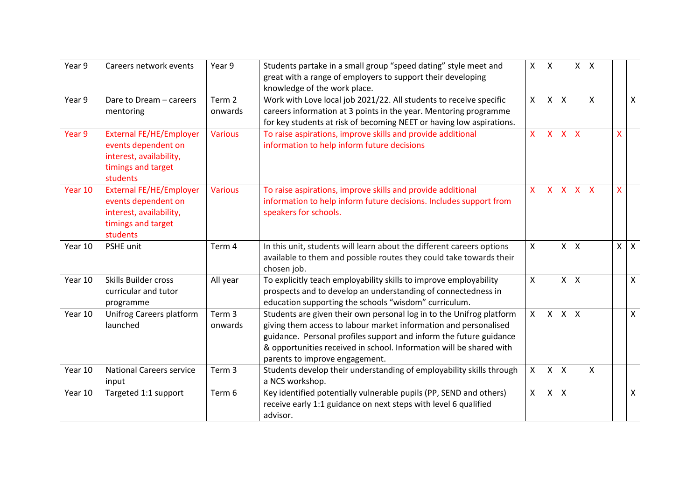| Year 9  | Careers network events                                                                                             | Year 9                       | Students partake in a small group "speed dating" style meet and<br>great with a range of employers to support their developing<br>knowledge of the work place.                                                                                                                                                          |              | X            |                      | X                         | X                       |                         |              |
|---------|--------------------------------------------------------------------------------------------------------------------|------------------------------|-------------------------------------------------------------------------------------------------------------------------------------------------------------------------------------------------------------------------------------------------------------------------------------------------------------------------|--------------|--------------|----------------------|---------------------------|-------------------------|-------------------------|--------------|
| Year 9  | Dare to Dream - careers<br>mentoring                                                                               | Term 2<br>onwards            | Work with Love local job 2021/22. All students to receive specific<br>careers information at 3 points in the year. Mentoring programme<br>for key students at risk of becoming NEET or having low aspirations.                                                                                                          | X            | $\mathsf{X}$ | X                    |                           | X                       |                         | $\mathsf{X}$ |
| Year 9  | <b>External FE/HE/Employer</b><br>events dependent on<br>interest, availability,<br>timings and target<br>students | <b>Various</b>               | To raise aspirations, improve skills and provide additional<br>information to help inform future decisions                                                                                                                                                                                                              | X            | $\mathsf{X}$ | $\mathsf{X}$         | X                         |                         | $\overline{\mathsf{X}}$ |              |
| Year 10 | <b>External FE/HE/Employer</b><br>events dependent on<br>interest, availability,<br>timings and target<br>students | <b>Various</b>               | To raise aspirations, improve skills and provide additional<br>information to help inform future decisions. Includes support from<br>speakers for schools.                                                                                                                                                              | $\mathsf{x}$ | $\mathsf{X}$ | $\mathsf{X}^{\perp}$ | $\mathsf{x}$              | $\overline{\mathsf{x}}$ | $\overline{\mathsf{X}}$ |              |
| Year 10 | PSHE unit                                                                                                          | Term 4                       | In this unit, students will learn about the different careers options<br>available to them and possible routes they could take towards their<br>chosen job.                                                                                                                                                             | $\mathsf{x}$ |              | x <sub>1</sub>       | $\mathsf{x}$              |                         | $\times$                | $\mathsf{X}$ |
| Year 10 | <b>Skills Builder cross</b><br>curricular and tutor<br>programme                                                   | All year                     | To explicitly teach employability skills to improve employability<br>prospects and to develop an understanding of connectedness in<br>education supporting the schools "wisdom" curriculum.                                                                                                                             | $\mathsf{x}$ |              | $\times$             | $\boldsymbol{\mathsf{X}}$ |                         |                         | $\mathsf{X}$ |
| Year 10 | Unifrog Careers platform<br>launched                                                                               | Term <sub>3</sub><br>onwards | Students are given their own personal log in to the Unifrog platform<br>giving them access to labour market information and personalised<br>guidance. Personal profiles support and inform the future guidance<br>& opportunities received in school. Information will be shared with<br>parents to improve engagement. | $\mathsf{X}$ | $\mathsf{X}$ | $\times$             | $\mathsf{X}$              |                         |                         | $\mathsf{X}$ |
| Year 10 | <b>National Careers service</b><br>input                                                                           | Term 3                       | Students develop their understanding of employability skills through<br>a NCS workshop.                                                                                                                                                                                                                                 | X            | $\mathsf{X}$ | X                    |                           | $\pmb{\mathsf{X}}$      |                         |              |
| Year 10 | Targeted 1:1 support                                                                                               | Term 6                       | Key identified potentially vulnerable pupils (PP, SEND and others)<br>receive early 1:1 guidance on next steps with level 6 qualified<br>advisor.                                                                                                                                                                       | X            | $\mathsf{X}$ | X                    |                           |                         |                         | $\mathsf{X}$ |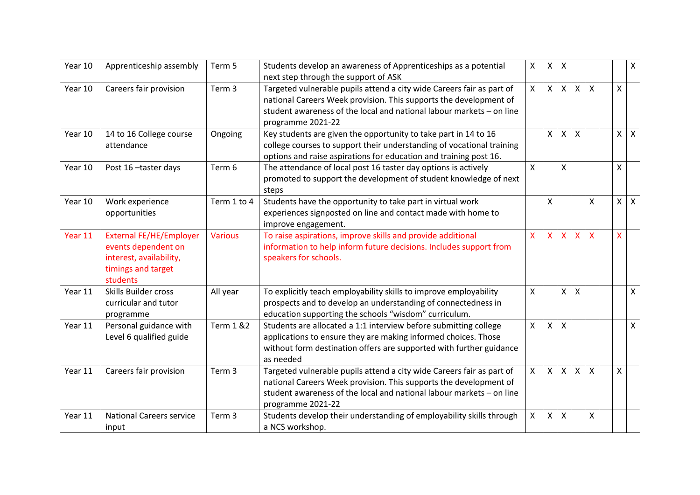| Year 10 | Apprenticeship assembly                                                                                            | Term 5               | Students develop an awareness of Apprenticeships as a potential<br>next step through the support of ASK                                                                                                                                 | X            | $\mathsf{X}$   | X              |   |                           |              | $\mathsf{X}$ |
|---------|--------------------------------------------------------------------------------------------------------------------|----------------------|-----------------------------------------------------------------------------------------------------------------------------------------------------------------------------------------------------------------------------------------|--------------|----------------|----------------|---|---------------------------|--------------|--------------|
| Year 10 | Careers fair provision                                                                                             | Term 3               | Targeted vulnerable pupils attend a city wide Careers fair as part of<br>national Careers Week provision. This supports the development of<br>student awareness of the local and national labour markets - on line<br>programme 2021-22 | $\mathsf{X}$ | $\mathsf{X}$   | $\mathsf{X}$   | X | $\boldsymbol{\mathsf{X}}$ | $\mathsf{X}$ |              |
| Year 10 | 14 to 16 College course<br>attendance                                                                              | Ongoing              | Key students are given the opportunity to take part in 14 to 16<br>college courses to support their understanding of vocational training<br>options and raise aspirations for education and training post 16.                           |              | X              | X              | X |                           | $\times$     | $\mathsf{X}$ |
| Year 10 | Post 16-taster days                                                                                                | Term 6               | The attendance of local post 16 taster day options is actively<br>promoted to support the development of student knowledge of next<br>steps                                                                                             | X.           |                | X.             |   |                           | $\mathsf{x}$ |              |
| Year 10 | Work experience<br>opportunities                                                                                   | Term 1 to 4          | Students have the opportunity to take part in virtual work<br>experiences signposted on line and contact made with home to<br>improve engagement.                                                                                       |              | Χ              |                |   | Χ                         | X            | $\mathsf{X}$ |
| Year 11 | <b>External FE/HE/Employer</b><br>events dependent on<br>interest, availability,<br>timings and target<br>students | <b>Various</b>       | To raise aspirations, improve skills and provide additional<br>information to help inform future decisions. Includes support from<br>speakers for schools.                                                                              | X.           | $\mathsf{X}$   | $\mathsf{X}^-$ | X | $\overline{\mathsf{x}}$   | X.           |              |
| Year 11 | <b>Skills Builder cross</b><br>curricular and tutor<br>programme                                                   | All year             | To explicitly teach employability skills to improve employability<br>prospects and to develop an understanding of connectedness in<br>education supporting the schools "wisdom" curriculum.                                             | X.           |                | $\times$       | X |                           |              | $\mathsf{X}$ |
| Year 11 | Personal guidance with<br>Level 6 qualified guide                                                                  | <b>Term 1 &amp;2</b> | Students are allocated a 1:1 interview before submitting college<br>applications to ensure they are making informed choices. Those<br>without form destination offers are supported with further guidance<br>as needed                  | $\mathsf{X}$ | $\mathsf{X}$   | X              |   |                           |              | X            |
| Year 11 | Careers fair provision                                                                                             | Term 3               | Targeted vulnerable pupils attend a city wide Careers fair as part of<br>national Careers Week provision. This supports the development of<br>student awareness of the local and national labour markets - on line<br>programme 2021-22 | X            | $\mathsf{X}$   | $\times$       | X | $\boldsymbol{\mathsf{X}}$ | X            |              |
| Year 11 | <b>National Careers service</b><br>input                                                                           | Term 3               | Students develop their understanding of employability skills through<br>a NCS workshop.                                                                                                                                                 | X.           | $\mathsf{X}^-$ | X              |   | X                         |              |              |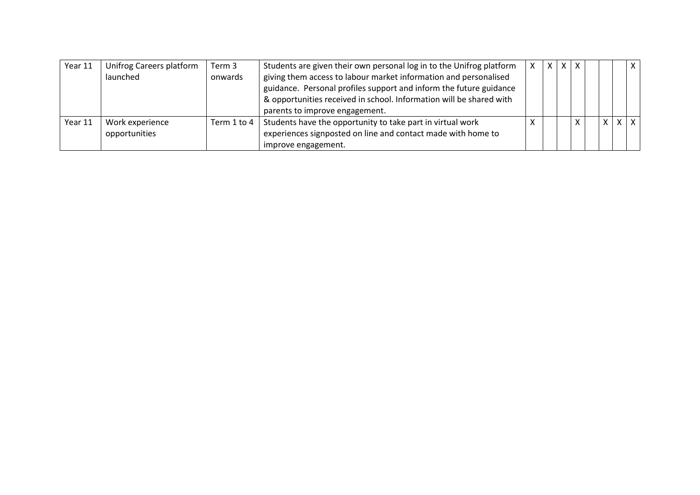| Year 11 | Unifrog Careers platform | Term 3          | Students are given their own personal log in to the Unifrog platform | X I | $X$   $X$    |          | X     |
|---------|--------------------------|-----------------|----------------------------------------------------------------------|-----|--------------|----------|-------|
|         | launched                 | onwards         | giving them access to labour market information and personalised     |     |              |          |       |
|         |                          |                 | guidance. Personal profiles support and inform the future guidance   |     |              |          |       |
|         |                          |                 | & opportunities received in school. Information will be shared with  |     |              |          |       |
|         |                          |                 | parents to improve engagement.                                       |     |              |          |       |
| Year 11 | Work experience          | Term $1$ to $4$ | Students have the opportunity to take part in virtual work           |     | $\checkmark$ | $\times$ | x   x |
|         | opportunities            |                 | experiences signposted on line and contact made with home to         |     |              |          |       |
|         |                          |                 | improve engagement.                                                  |     |              |          |       |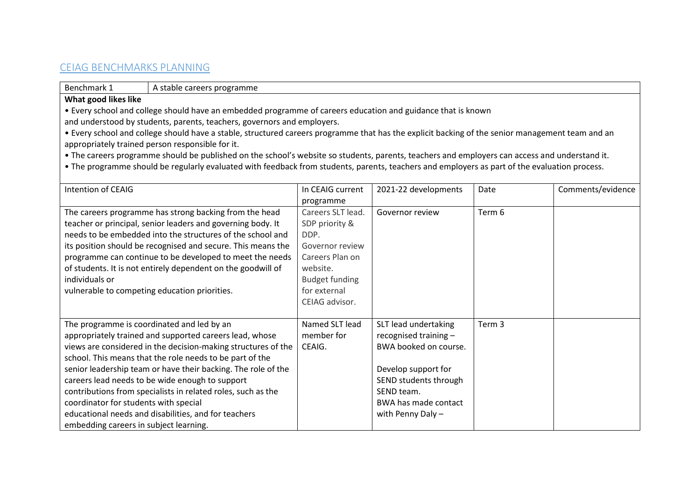# CEIAG BENCHMARKS PLANNING

Benchmark 1 A stable careers programme

#### **What good likes like**

• Every school and college should have an embedded programme of careers education and guidance that is known

and understood by students, parents, teachers, governors and employers.

• Every school and college should have a stable, structured careers programme that has the explicit backing of the senior management team and an appropriately trained person responsible for it.

• The careers programme should be published on the school's website so students, parents, teachers and employers can access and understand it.

• The programme should be regularly evaluated with feedback from students, parents, teachers and employers as part of the evaluation process.

| Intention of CEAIG                                            | In CEAIG current      | 2021-22 developments  | Date   | Comments/evidence |
|---------------------------------------------------------------|-----------------------|-----------------------|--------|-------------------|
|                                                               | programme             |                       |        |                   |
| The careers programme has strong backing from the head        | Careers SLT lead.     | Governor review       | Term 6 |                   |
| teacher or principal, senior leaders and governing body. It   | SDP priority &        |                       |        |                   |
| needs to be embedded into the structures of the school and    | DDP.                  |                       |        |                   |
| its position should be recognised and secure. This means the  | Governor review       |                       |        |                   |
| programme can continue to be developed to meet the needs      | Careers Plan on       |                       |        |                   |
| of students. It is not entirely dependent on the goodwill of  | website.              |                       |        |                   |
| individuals or                                                | <b>Budget funding</b> |                       |        |                   |
| vulnerable to competing education priorities.                 | for external          |                       |        |                   |
|                                                               | CEIAG advisor.        |                       |        |                   |
|                                                               |                       |                       |        |                   |
| The programme is coordinated and led by an                    | Named SLT lead        | SLT lead undertaking  | Term 3 |                   |
| appropriately trained and supported careers lead, whose       | member for            | recognised training - |        |                   |
| views are considered in the decision-making structures of the | CEAIG.                | BWA booked on course. |        |                   |
| school. This means that the role needs to be part of the      |                       |                       |        |                   |
| senior leadership team or have their backing. The role of the |                       | Develop support for   |        |                   |
| careers lead needs to be wide enough to support               |                       | SEND students through |        |                   |
| contributions from specialists in related roles, such as the  |                       | SEND team.            |        |                   |
| coordinator for students with special                         |                       | BWA has made contact  |        |                   |
| educational needs and disabilities, and for teachers          |                       | with Penny Daly $-$   |        |                   |
| embedding careers in subject learning.                        |                       |                       |        |                   |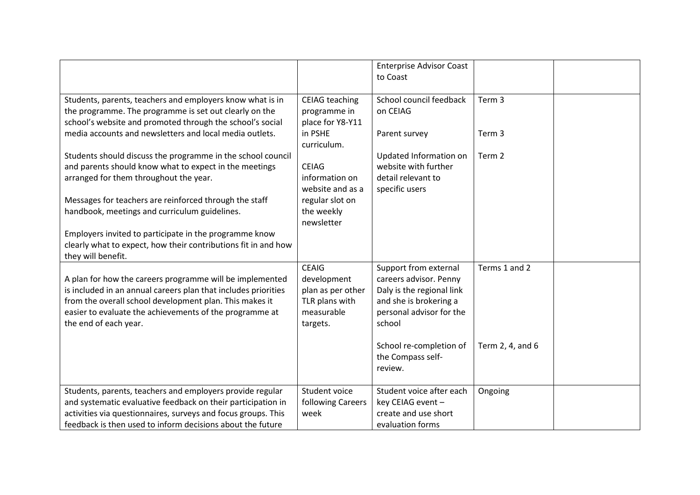|                                                                                                                                                                                  |                                                           | <b>Enterprise Advisor Coast</b><br>to Coast  |                   |  |
|----------------------------------------------------------------------------------------------------------------------------------------------------------------------------------|-----------------------------------------------------------|----------------------------------------------|-------------------|--|
| Students, parents, teachers and employers know what is in<br>the programme. The programme is set out clearly on the<br>school's website and promoted through the school's social | <b>CEIAG</b> teaching<br>programme in<br>place for Y8-Y11 | School council feedback<br>on CEIAG          | Term <sub>3</sub> |  |
| media accounts and newsletters and local media outlets.                                                                                                                          | in PSHE<br>curriculum.                                    | Parent survey                                | Term 3            |  |
| Students should discuss the programme in the school council                                                                                                                      |                                                           | Updated Information on                       | Term 2            |  |
| and parents should know what to expect in the meetings                                                                                                                           | <b>CEIAG</b>                                              | website with further                         |                   |  |
| arranged for them throughout the year.                                                                                                                                           | information on                                            | detail relevant to                           |                   |  |
|                                                                                                                                                                                  | website and as a                                          | specific users                               |                   |  |
| Messages for teachers are reinforced through the staff<br>handbook, meetings and curriculum guidelines.                                                                          | regular slot on<br>the weekly                             |                                              |                   |  |
|                                                                                                                                                                                  | newsletter                                                |                                              |                   |  |
| Employers invited to participate in the programme know                                                                                                                           |                                                           |                                              |                   |  |
| clearly what to expect, how their contributions fit in and how<br>they will benefit.                                                                                             |                                                           |                                              |                   |  |
|                                                                                                                                                                                  | <b>CEAIG</b>                                              | Support from external                        | Terms 1 and 2     |  |
| A plan for how the careers programme will be implemented                                                                                                                         | development                                               | careers advisor. Penny                       |                   |  |
| is included in an annual careers plan that includes priorities                                                                                                                   | plan as per other                                         | Daly is the regional link                    |                   |  |
| from the overall school development plan. This makes it                                                                                                                          | TLR plans with<br>measurable                              | and she is brokering a                       |                   |  |
| easier to evaluate the achievements of the programme at<br>the end of each year.                                                                                                 | targets.                                                  | personal advisor for the<br>school           |                   |  |
|                                                                                                                                                                                  |                                                           |                                              |                   |  |
|                                                                                                                                                                                  |                                                           | School re-completion of<br>the Compass self- | Term 2, 4, and 6  |  |
|                                                                                                                                                                                  |                                                           | review.                                      |                   |  |
|                                                                                                                                                                                  |                                                           |                                              |                   |  |
| Students, parents, teachers and employers provide regular                                                                                                                        | Student voice                                             | Student voice after each                     | Ongoing           |  |
| and systematic evaluative feedback on their participation in                                                                                                                     | following Careers                                         | key CEIAG event -                            |                   |  |
| activities via questionnaires, surveys and focus groups. This                                                                                                                    | week                                                      | create and use short                         |                   |  |
| feedback is then used to inform decisions about the future                                                                                                                       |                                                           | evaluation forms                             |                   |  |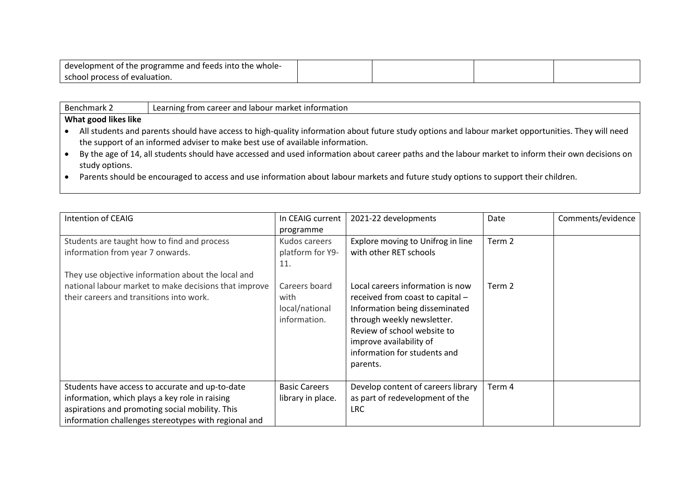| l development of the programme and feeds into the whole- |  |  |
|----------------------------------------------------------|--|--|
| l school process of evaluation.                          |  |  |

| <b>Benchmark 2</b> | Learnin |
|--------------------|---------|
|--------------------|---------|

#### ing from career and labour market information

- All students and parents should have access to high-quality information about future study options and labour market opportunities. They will need the support of an informed adviser to make best use of available information.
- By the age of 14, all students should have accessed and used information about career paths and the labour market to inform their own decisions on study options.
- Parents should be encouraged to access and use information about labour markets and future study options to support their children.

| Intention of CEAIG                                    | In CEAIG current     | 2021-22 developments               | Date   | Comments/evidence |
|-------------------------------------------------------|----------------------|------------------------------------|--------|-------------------|
|                                                       | programme            |                                    |        |                   |
| Students are taught how to find and process           | Kudos careers        | Explore moving to Unifrog in line  | Term 2 |                   |
| information from year 7 onwards.                      | platform for Y9-     | with other RET schools             |        |                   |
|                                                       | 11.                  |                                    |        |                   |
| They use objective information about the local and    |                      |                                    |        |                   |
| national labour market to make decisions that improve | Careers board        | Local careers information is now   | Term 2 |                   |
| their careers and transitions into work.              | with                 | received from coast to capital -   |        |                   |
|                                                       | local/national       | Information being disseminated     |        |                   |
|                                                       | information.         | through weekly newsletter.         |        |                   |
|                                                       |                      | Review of school website to        |        |                   |
|                                                       |                      | improve availability of            |        |                   |
|                                                       |                      | information for students and       |        |                   |
|                                                       |                      | parents.                           |        |                   |
| Students have access to accurate and up-to-date       | <b>Basic Careers</b> | Develop content of careers library | Term 4 |                   |
| information, which plays a key role in raising        | library in place.    | as part of redevelopment of the    |        |                   |
| aspirations and promoting social mobility. This       |                      | <b>LRC</b>                         |        |                   |
| information challenges stereotypes with regional and  |                      |                                    |        |                   |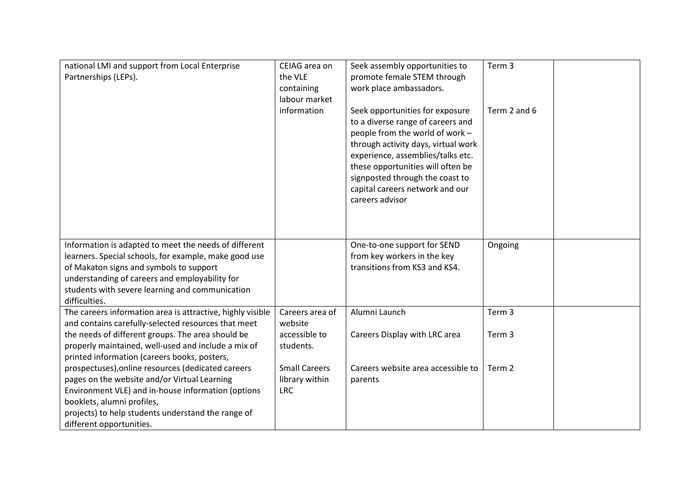| national LMI and support from Local Enterprise<br>Partnerships (LEPs).                                                                                                                                                                                                          | CEIAG area on<br>the VLE<br>containing<br>labour market<br>information | Seek assembly opportunities to<br>promote female STEM through<br>work place ambassadors.<br>Seek opportunities for exposure<br>to a diverse range of careers and<br>people from the world of work -<br>through activity days, virtual work<br>experience, assemblies/talks etc.<br>these opportunities will often be<br>signposted through the coast to<br>capital careers network and our<br>careers advisor | Term 3<br>Term 2 and 6 |  |
|---------------------------------------------------------------------------------------------------------------------------------------------------------------------------------------------------------------------------------------------------------------------------------|------------------------------------------------------------------------|---------------------------------------------------------------------------------------------------------------------------------------------------------------------------------------------------------------------------------------------------------------------------------------------------------------------------------------------------------------------------------------------------------------|------------------------|--|
| Information is adapted to meet the needs of different<br>learners. Special schools, for example, make good use<br>of Makaton signs and symbols to support<br>understanding of careers and employability for<br>students with severe learning and communication<br>difficulties. |                                                                        | One-to-one support for SEND<br>from key workers in the key<br>transitions from KS3 and KS4.                                                                                                                                                                                                                                                                                                                   | Ongoing                |  |
| The careers information area is attractive, highly visible<br>and contains carefully-selected resources that meet                                                                                                                                                               | Careers area of<br>website                                             | Alumni Launch                                                                                                                                                                                                                                                                                                                                                                                                 | Term 3                 |  |
| the needs of different groups. The area should be<br>properly maintained, well-used and include a mix of<br>printed information (careers books, posters,                                                                                                                        | accessible to<br>students.                                             | Careers Display with LRC area                                                                                                                                                                                                                                                                                                                                                                                 | Term 3                 |  |
| prospectuses), online resources (dedicated careers<br>pages on the website and/or Virtual Learning<br>Environment VLE) and in-house information (options<br>booklets, alumni profiles,<br>projects) to help students understand the range of<br>different opportunities.        | <b>Small Careers</b><br>library within<br><b>LRC</b>                   | Careers website area accessible to<br>parents                                                                                                                                                                                                                                                                                                                                                                 | Term 2                 |  |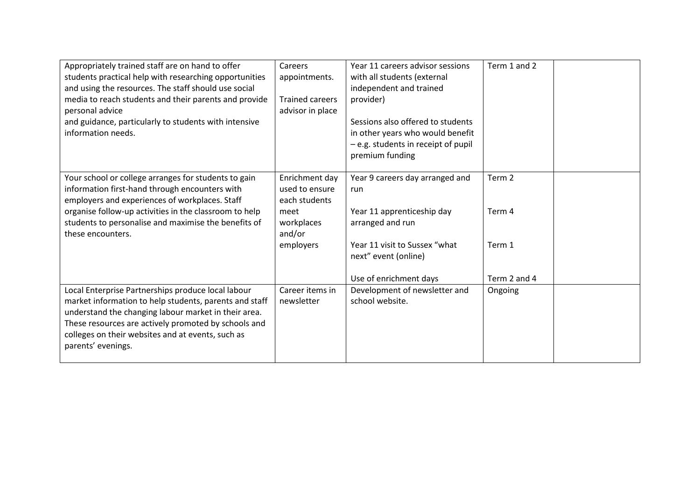| Appropriately trained staff are on hand to offer<br>students practical help with researching opportunities<br>and using the resources. The staff should use social<br>media to reach students and their parents and provide<br>personal advice<br>and guidance, particularly to students with intensive<br>information needs. | Careers<br>appointments.<br><b>Trained careers</b><br>advisor in place                         | Year 11 careers advisor sessions<br>with all students (external<br>independent and trained<br>provider)<br>Sessions also offered to students<br>in other years who would benefit<br>- e.g. students in receipt of pupil<br>premium funding | Term 1 and 2                                          |  |
|-------------------------------------------------------------------------------------------------------------------------------------------------------------------------------------------------------------------------------------------------------------------------------------------------------------------------------|------------------------------------------------------------------------------------------------|--------------------------------------------------------------------------------------------------------------------------------------------------------------------------------------------------------------------------------------------|-------------------------------------------------------|--|
| Your school or college arranges for students to gain<br>information first-hand through encounters with<br>employers and experiences of workplaces. Staff<br>organise follow-up activities in the classroom to help<br>students to personalise and maximise the benefits of<br>these encounters.                               | Enrichment day<br>used to ensure<br>each students<br>meet<br>workplaces<br>and/or<br>employers | Year 9 careers day arranged and<br>run<br>Year 11 apprenticeship day<br>arranged and run<br>Year 11 visit to Sussex "what<br>next" event (online)<br>Use of enrichment days                                                                | Term <sub>2</sub><br>Term 4<br>Term 1<br>Term 2 and 4 |  |
| Local Enterprise Partnerships produce local labour<br>market information to help students, parents and staff<br>understand the changing labour market in their area.<br>These resources are actively promoted by schools and<br>colleges on their websites and at events, such as<br>parents' evenings.                       | Career items in<br>newsletter                                                                  | Development of newsletter and<br>school website.                                                                                                                                                                                           | Ongoing                                               |  |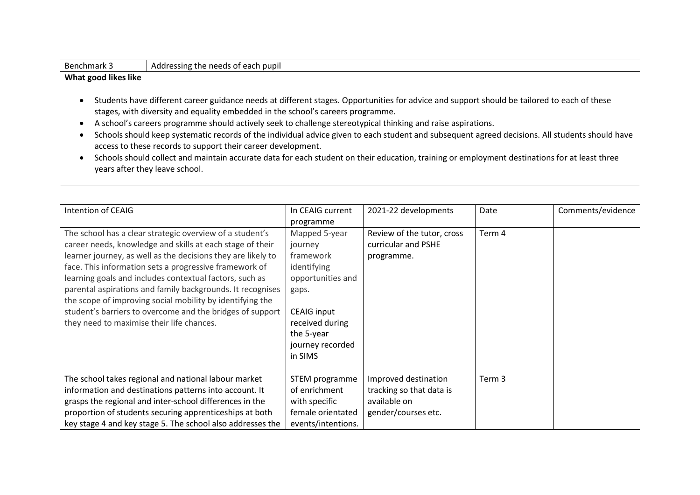- Students have different career guidance needs at different stages. Opportunities for advice and support should be tailored to each of these stages, with diversity and equality embedded in the school's careers programme.
- A school's careers programme should actively seek to challenge stereotypical thinking and raise aspirations.
- Schools should keep systematic records of the individual advice given to each student and subsequent agreed decisions. All students should have access to these records to support their career development.
- Schools should collect and maintain accurate data for each student on their education, training or employment destinations for at least three years after they leave school.

| Intention of CEAIG                                                                                                                                                                                                                                                                                                                                                                                                                                                                                                                              | In CEAIG current<br>programme                                                                                                                                            | 2021-22 developments                                                                    | Date   | Comments/evidence |
|-------------------------------------------------------------------------------------------------------------------------------------------------------------------------------------------------------------------------------------------------------------------------------------------------------------------------------------------------------------------------------------------------------------------------------------------------------------------------------------------------------------------------------------------------|--------------------------------------------------------------------------------------------------------------------------------------------------------------------------|-----------------------------------------------------------------------------------------|--------|-------------------|
| The school has a clear strategic overview of a student's<br>career needs, knowledge and skills at each stage of their<br>learner journey, as well as the decisions they are likely to<br>face. This information sets a progressive framework of<br>learning goals and includes contextual factors, such as<br>parental aspirations and family backgrounds. It recognises<br>the scope of improving social mobility by identifying the<br>student's barriers to overcome and the bridges of support<br>they need to maximise their life chances. | Mapped 5-year<br>journey<br>framework<br>identifying<br>opportunities and<br>gaps.<br><b>CEAIG input</b><br>received during<br>the 5-year<br>journey recorded<br>in SIMS | Review of the tutor, cross<br>curricular and PSHE<br>programme.                         | Term 4 |                   |
| The school takes regional and national labour market<br>information and destinations patterns into account. It<br>grasps the regional and inter-school differences in the<br>proportion of students securing apprenticeships at both<br>key stage 4 and key stage 5. The school also addresses the                                                                                                                                                                                                                                              | STEM programme<br>of enrichment<br>with specific<br>female orientated<br>events/intentions.                                                                              | Improved destination<br>tracking so that data is<br>available on<br>gender/courses etc. | Term 3 |                   |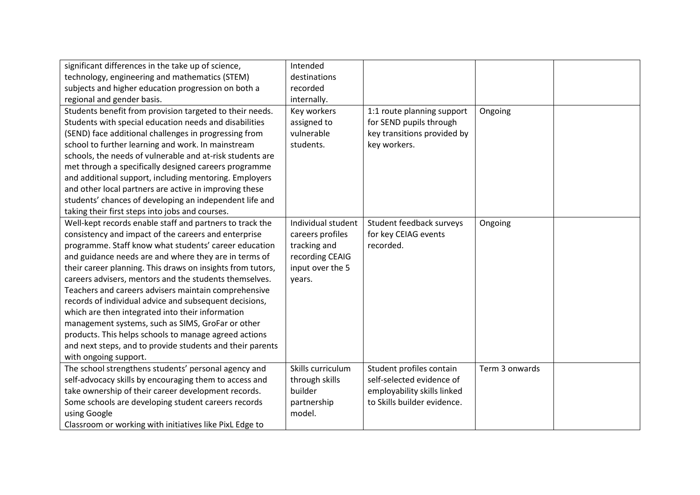| significant differences in the take up of science,         | Intended           |                             |                |  |
|------------------------------------------------------------|--------------------|-----------------------------|----------------|--|
| technology, engineering and mathematics (STEM)             | destinations       |                             |                |  |
| subjects and higher education progression on both a        | recorded           |                             |                |  |
| regional and gender basis.                                 | internally.        |                             |                |  |
| Students benefit from provision targeted to their needs.   | Key workers        | 1:1 route planning support  | Ongoing        |  |
| Students with special education needs and disabilities     | assigned to        | for SEND pupils through     |                |  |
| (SEND) face additional challenges in progressing from      | vulnerable         | key transitions provided by |                |  |
| school to further learning and work. In mainstream         | students.          | key workers.                |                |  |
| schools, the needs of vulnerable and at-risk students are  |                    |                             |                |  |
| met through a specifically designed careers programme      |                    |                             |                |  |
| and additional support, including mentoring. Employers     |                    |                             |                |  |
| and other local partners are active in improving these     |                    |                             |                |  |
| students' chances of developing an independent life and    |                    |                             |                |  |
| taking their first steps into jobs and courses.            |                    |                             |                |  |
| Well-kept records enable staff and partners to track the   | Individual student | Student feedback surveys    | Ongoing        |  |
| consistency and impact of the careers and enterprise       | careers profiles   | for key CEIAG events        |                |  |
| programme. Staff know what students' career education      | tracking and       | recorded.                   |                |  |
| and guidance needs are and where they are in terms of      | recording CEAIG    |                             |                |  |
| their career planning. This draws on insights from tutors, | input over the 5   |                             |                |  |
| careers advisers, mentors and the students themselves.     | years.             |                             |                |  |
| Teachers and careers advisers maintain comprehensive       |                    |                             |                |  |
| records of individual advice and subsequent decisions,     |                    |                             |                |  |
| which are then integrated into their information           |                    |                             |                |  |
| management systems, such as SIMS, GroFar or other          |                    |                             |                |  |
| products. This helps schools to manage agreed actions      |                    |                             |                |  |
| and next steps, and to provide students and their parents  |                    |                             |                |  |
| with ongoing support.                                      |                    |                             |                |  |
| The school strengthens students' personal agency and       | Skills curriculum  | Student profiles contain    | Term 3 onwards |  |
| self-advocacy skills by encouraging them to access and     | through skills     | self-selected evidence of   |                |  |
| take ownership of their career development records.        | builder            | employability skills linked |                |  |
| Some schools are developing student careers records        | partnership        | to Skills builder evidence. |                |  |
| using Google                                               | model.             |                             |                |  |
| Classroom or working with initiatives like PixL Edge to    |                    |                             |                |  |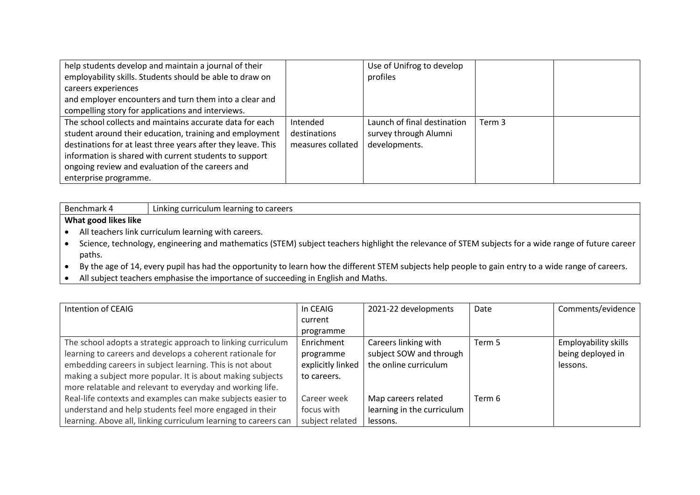| help students develop and maintain a journal of their        |                   | Use of Unifrog to develop   |        |  |
|--------------------------------------------------------------|-------------------|-----------------------------|--------|--|
| employability skills. Students should be able to draw on     |                   | profiles                    |        |  |
| careers experiences                                          |                   |                             |        |  |
| and employer encounters and turn them into a clear and       |                   |                             |        |  |
| compelling story for applications and interviews.            |                   |                             |        |  |
| The school collects and maintains accurate data for each     | Intended          | Launch of final destination | Term 3 |  |
| student around their education, training and employment      | destinations      | survey through Alumni       |        |  |
| destinations for at least three years after they leave. This | measures collated | developments.               |        |  |
| information is shared with current students to support       |                   |                             |        |  |
| ongoing review and evaluation of the careers and             |                   |                             |        |  |
| enterprise programme.                                        |                   |                             |        |  |

| Benchmark 4                                            | to careers<br>curriculum<br>learni<br><b>INE</b><br>nking |
|--------------------------------------------------------|-----------------------------------------------------------|
| $\cdots$<br>.<br><b>What</b><br>I likes like<br>. 8000 |                                                           |

- All teachers link curriculum learning with careers.
- Science, technology, engineering and mathematics (STEM) subject teachers highlight the relevance of STEM subjects for a wide range of future career paths.
- By the age of 14, every pupil has had the opportunity to learn how the different STEM subjects help people to gain entry to a wide range of careers.
- All subject teachers emphasise the importance of succeeding in English and Maths.

| Intention of CEAIG                                              | In CEAIG          | 2021-22 developments       | Date   | Comments/evidence           |
|-----------------------------------------------------------------|-------------------|----------------------------|--------|-----------------------------|
|                                                                 | current           |                            |        |                             |
|                                                                 | programme         |                            |        |                             |
| The school adopts a strategic approach to linking curriculum    | Enrichment        | Careers linking with       | Term 5 | <b>Employability skills</b> |
| learning to careers and develops a coherent rationale for       | programme         | subject SOW and through    |        | being deployed in           |
| embedding careers in subject learning. This is not about        | explicitly linked | the online curriculum      |        | lessons.                    |
| making a subject more popular. It is about making subjects      | to careers.       |                            |        |                             |
| more relatable and relevant to everyday and working life.       |                   |                            |        |                             |
| Real-life contexts and examples can make subjects easier to     | Career week       | Map careers related        | Term 6 |                             |
| understand and help students feel more engaged in their         | focus with        | learning in the curriculum |        |                             |
| learning. Above all, linking curriculum learning to careers can | subject related   | lessons.                   |        |                             |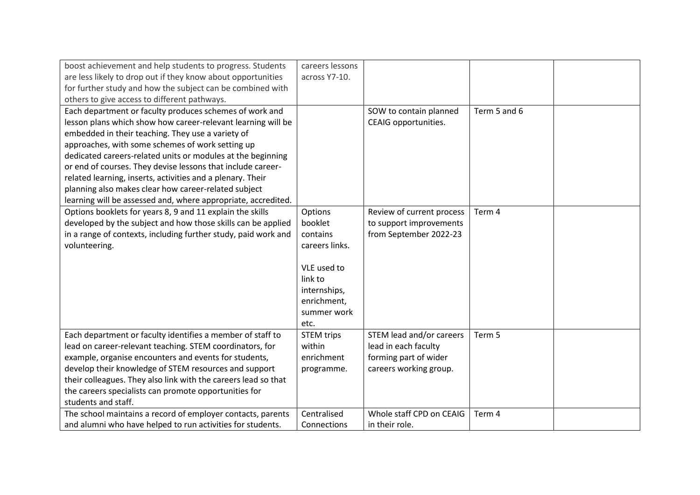| boost achievement and help students to progress. Students      | careers lessons   |                           |              |  |
|----------------------------------------------------------------|-------------------|---------------------------|--------------|--|
| are less likely to drop out if they know about opportunities   | across Y7-10.     |                           |              |  |
| for further study and how the subject can be combined with     |                   |                           |              |  |
| others to give access to different pathways.                   |                   |                           |              |  |
| Each department or faculty produces schemes of work and        |                   | SOW to contain planned    | Term 5 and 6 |  |
| lesson plans which show how career-relevant learning will be   |                   | CEAIG opportunities.      |              |  |
| embedded in their teaching. They use a variety of              |                   |                           |              |  |
| approaches, with some schemes of work setting up               |                   |                           |              |  |
| dedicated careers-related units or modules at the beginning    |                   |                           |              |  |
| or end of courses. They devise lessons that include career-    |                   |                           |              |  |
| related learning, inserts, activities and a plenary. Their     |                   |                           |              |  |
| planning also makes clear how career-related subject           |                   |                           |              |  |
| learning will be assessed and, where appropriate, accredited.  |                   |                           |              |  |
| Options booklets for years 8, 9 and 11 explain the skills      | Options           | Review of current process | Term 4       |  |
| developed by the subject and how those skills can be applied   | booklet           | to support improvements   |              |  |
| in a range of contexts, including further study, paid work and | contains          | from September 2022-23    |              |  |
| volunteering.                                                  | careers links.    |                           |              |  |
|                                                                |                   |                           |              |  |
|                                                                | VLE used to       |                           |              |  |
|                                                                | link to           |                           |              |  |
|                                                                | internships,      |                           |              |  |
|                                                                | enrichment,       |                           |              |  |
|                                                                | summer work       |                           |              |  |
|                                                                | etc.              |                           |              |  |
| Each department or faculty identifies a member of staff to     | <b>STEM trips</b> | STEM lead and/or careers  | Term 5       |  |
| lead on career-relevant teaching. STEM coordinators, for       | within            | lead in each faculty      |              |  |
| example, organise encounters and events for students,          | enrichment        | forming part of wider     |              |  |
| develop their knowledge of STEM resources and support          | programme.        | careers working group.    |              |  |
| their colleagues. They also link with the careers lead so that |                   |                           |              |  |
| the careers specialists can promote opportunities for          |                   |                           |              |  |
| students and staff.                                            |                   |                           |              |  |
| The school maintains a record of employer contacts, parents    | Centralised       | Whole staff CPD on CEAIG  | Term 4       |  |
| and alumni who have helped to run activities for students.     | Connections       | in their role.            |              |  |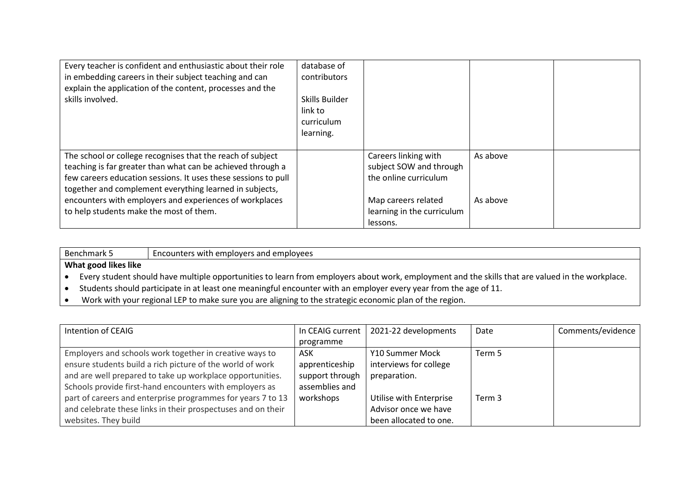| Every teacher is confident and enthusiastic about their role<br>in embedding careers in their subject teaching and can<br>explain the application of the content, processes and the<br>skills involved.                                                                                                                                                      | database of<br>contributors<br>Skills Builder<br>link to<br>curriculum<br>learning. |                                                                                                                                           |                      |  |
|--------------------------------------------------------------------------------------------------------------------------------------------------------------------------------------------------------------------------------------------------------------------------------------------------------------------------------------------------------------|-------------------------------------------------------------------------------------|-------------------------------------------------------------------------------------------------------------------------------------------|----------------------|--|
| The school or college recognises that the reach of subject<br>teaching is far greater than what can be achieved through a<br>few careers education sessions. It uses these sessions to pull<br>together and complement everything learned in subjects,<br>encounters with employers and experiences of workplaces<br>to help students make the most of them. |                                                                                     | Careers linking with<br>subject SOW and through<br>the online curriculum<br>Map careers related<br>learning in the curriculum<br>lessons. | As above<br>As above |  |

Benchmark 5 Encounters with employers and employees

#### **What good likes like**

• Every student should have multiple opportunities to learn from employers about work, employment and the skills that are valued in the workplace.

- Students should participate in at least one meaningful encounter with an employer every year from the age of 11.
- Work with your regional LEP to make sure you are aligning to the strategic economic plan of the region.

| Intention of CEAIG                                           | In CEAIG current | 2021-22 developments    | Date   | Comments/evidence |
|--------------------------------------------------------------|------------------|-------------------------|--------|-------------------|
|                                                              | programme        |                         |        |                   |
| Employers and schools work together in creative ways to      | ASK              | Y10 Summer Mock         | Term 5 |                   |
| ensure students build a rich picture of the world of work    | apprenticeship   | interviews for college  |        |                   |
| and are well prepared to take up workplace opportunities.    | support through  | preparation.            |        |                   |
| Schools provide first-hand encounters with employers as      | assemblies and   |                         |        |                   |
| part of careers and enterprise programmes for years 7 to 13  | workshops        | Utilise with Enterprise | Term 3 |                   |
| and celebrate these links in their prospectuses and on their |                  | Advisor once we have    |        |                   |
| websites. They build                                         |                  | been allocated to one.  |        |                   |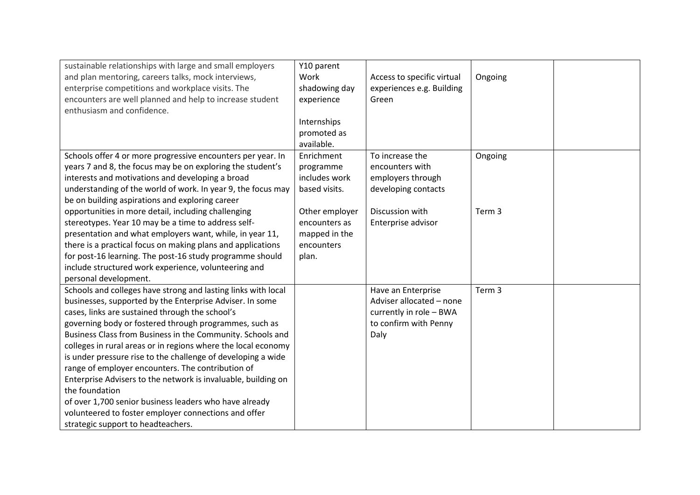| sustainable relationships with large and small employers<br>and plan mentoring, careers talks, mock interviews,<br>enterprise competitions and workplace visits. The<br>encounters are well planned and help to increase student<br>enthusiasm and confidence.                                                                                                                                                                                                                                                                                                                                                                                                                                                                        | Y10 parent<br>Work<br>shadowing day<br>experience<br>Internships<br>promoted as | Access to specific virtual<br>experiences e.g. Building<br>Green                                           | Ongoing |  |
|---------------------------------------------------------------------------------------------------------------------------------------------------------------------------------------------------------------------------------------------------------------------------------------------------------------------------------------------------------------------------------------------------------------------------------------------------------------------------------------------------------------------------------------------------------------------------------------------------------------------------------------------------------------------------------------------------------------------------------------|---------------------------------------------------------------------------------|------------------------------------------------------------------------------------------------------------|---------|--|
| Schools offer 4 or more progressive encounters per year. In                                                                                                                                                                                                                                                                                                                                                                                                                                                                                                                                                                                                                                                                           | available.<br>Enrichment                                                        | To increase the                                                                                            | Ongoing |  |
| years 7 and 8, the focus may be on exploring the student's<br>interests and motivations and developing a broad<br>understanding of the world of work. In year 9, the focus may<br>be on building aspirations and exploring career                                                                                                                                                                                                                                                                                                                                                                                                                                                                                                     | programme<br>includes work<br>based visits.                                     | encounters with<br>employers through<br>developing contacts                                                |         |  |
| opportunities in more detail, including challenging<br>stereotypes. Year 10 may be a time to address self-<br>presentation and what employers want, while, in year 11,<br>there is a practical focus on making plans and applications<br>for post-16 learning. The post-16 study programme should<br>include structured work experience, volunteering and<br>personal development.                                                                                                                                                                                                                                                                                                                                                    | Other employer<br>encounters as<br>mapped in the<br>encounters<br>plan.         | Discussion with<br>Enterprise advisor                                                                      | Term 3  |  |
| Schools and colleges have strong and lasting links with local<br>businesses, supported by the Enterprise Adviser. In some<br>cases, links are sustained through the school's<br>governing body or fostered through programmes, such as<br>Business Class from Business in the Community. Schools and<br>colleges in rural areas or in regions where the local economy<br>is under pressure rise to the challenge of developing a wide<br>range of employer encounters. The contribution of<br>Enterprise Advisers to the network is invaluable, building on<br>the foundation<br>of over 1,700 senior business leaders who have already<br>volunteered to foster employer connections and offer<br>strategic support to headteachers. |                                                                                 | Have an Enterprise<br>Adviser allocated - none<br>currently in role - BWA<br>to confirm with Penny<br>Daly | Term 3  |  |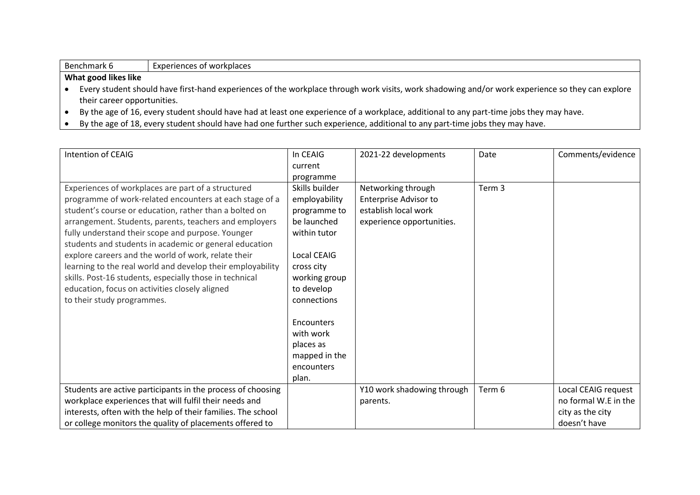| Benchmark 6 | <b>Experiences of workplaces</b> |
|-------------|----------------------------------|
|-------------|----------------------------------|

- Every student should have first-hand experiences of the workplace through work visits, work shadowing and/or work experience so they can explore their career opportunities.
- By the age of 16, every student should have had at least one experience of a workplace, additional to any part-time jobs they may have.
- By the age of 18, every student should have had one further such experience, additional to any part-time jobs they may have.

| Intention of CEAIG                                                                                                                                                                                                                                                                                                                               | In CEAIG                                                                            | 2021-22 developments                                                                                    | Date   | Comments/evidence                                                               |
|--------------------------------------------------------------------------------------------------------------------------------------------------------------------------------------------------------------------------------------------------------------------------------------------------------------------------------------------------|-------------------------------------------------------------------------------------|---------------------------------------------------------------------------------------------------------|--------|---------------------------------------------------------------------------------|
|                                                                                                                                                                                                                                                                                                                                                  | current                                                                             |                                                                                                         |        |                                                                                 |
|                                                                                                                                                                                                                                                                                                                                                  | programme                                                                           |                                                                                                         |        |                                                                                 |
| Experiences of workplaces are part of a structured<br>programme of work-related encounters at each stage of a<br>student's course or education, rather than a bolted on<br>arrangement. Students, parents, teachers and employers<br>fully understand their scope and purpose. Younger<br>students and students in academic or general education | Skills builder<br>employability<br>programme to<br>be launched<br>within tutor      | Networking through<br><b>Enterprise Advisor to</b><br>establish local work<br>experience opportunities. | Term 3 |                                                                                 |
| explore careers and the world of work, relate their<br>learning to the real world and develop their employability<br>skills. Post-16 students, especially those in technical<br>education, focus on activities closely aligned<br>to their study programmes.                                                                                     | Local CEAIG<br>cross city<br>working group<br>to develop<br>connections             |                                                                                                         |        |                                                                                 |
|                                                                                                                                                                                                                                                                                                                                                  | <b>Encounters</b><br>with work<br>places as<br>mapped in the<br>encounters<br>plan. |                                                                                                         |        |                                                                                 |
| Students are active participants in the process of choosing<br>workplace experiences that will fulfil their needs and<br>interests, often with the help of their families. The school<br>or college monitors the quality of placements offered to                                                                                                |                                                                                     | Y10 work shadowing through<br>parents.                                                                  | Term 6 | Local CEAIG request<br>no formal W.E in the<br>city as the city<br>doesn't have |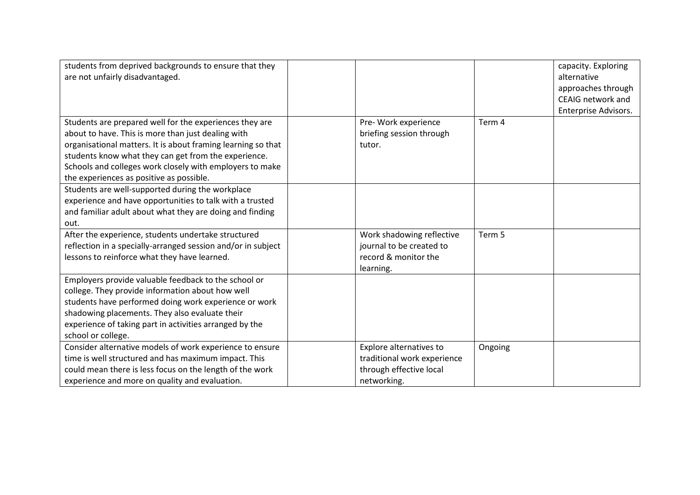| students from deprived backgrounds to ensure that they       |                             |         | capacity. Exploring  |
|--------------------------------------------------------------|-----------------------------|---------|----------------------|
| are not unfairly disadvantaged.                              |                             |         | alternative          |
|                                                              |                             |         | approaches through   |
|                                                              |                             |         | CEAIG network and    |
|                                                              |                             |         | Enterprise Advisors. |
| Students are prepared well for the experiences they are      | Pre- Work experience        | Term 4  |                      |
| about to have. This is more than just dealing with           | briefing session through    |         |                      |
| organisational matters. It is about framing learning so that | tutor.                      |         |                      |
| students know what they can get from the experience.         |                             |         |                      |
| Schools and colleges work closely with employers to make     |                             |         |                      |
| the experiences as positive as possible.                     |                             |         |                      |
| Students are well-supported during the workplace             |                             |         |                      |
| experience and have opportunities to talk with a trusted     |                             |         |                      |
| and familiar adult about what they are doing and finding     |                             |         |                      |
| out.                                                         |                             |         |                      |
| After the experience, students undertake structured          | Work shadowing reflective   | Term 5  |                      |
| reflection in a specially-arranged session and/or in subject | journal to be created to    |         |                      |
| lessons to reinforce what they have learned.                 | record & monitor the        |         |                      |
|                                                              | learning.                   |         |                      |
| Employers provide valuable feedback to the school or         |                             |         |                      |
| college. They provide information about how well             |                             |         |                      |
| students have performed doing work experience or work        |                             |         |                      |
| shadowing placements. They also evaluate their               |                             |         |                      |
| experience of taking part in activities arranged by the      |                             |         |                      |
| school or college.                                           |                             |         |                      |
| Consider alternative models of work experience to ensure     | Explore alternatives to     | Ongoing |                      |
| time is well structured and has maximum impact. This         | traditional work experience |         |                      |
| could mean there is less focus on the length of the work     | through effective local     |         |                      |
| experience and more on quality and evaluation.               | networking.                 |         |                      |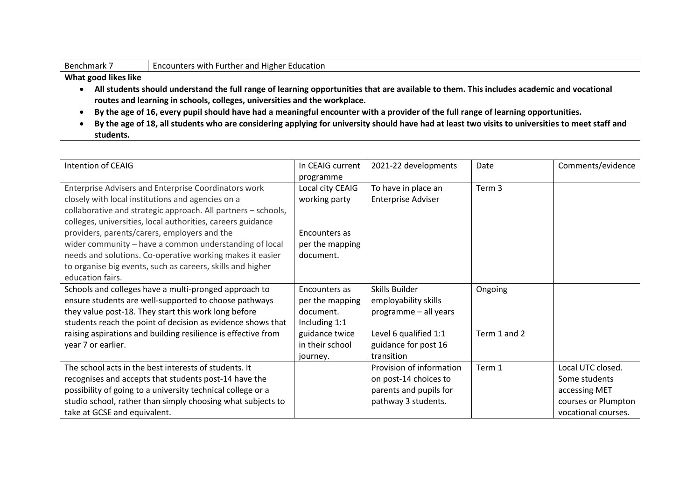| Benchmark 7          | Encounters with Further and Higher Education                                                                                                     |  |  |  |  |  |  |  |
|----------------------|--------------------------------------------------------------------------------------------------------------------------------------------------|--|--|--|--|--|--|--|
| What good likes like |                                                                                                                                                  |  |  |  |  |  |  |  |
|                      | All students should understand the full range of learning opportunities that are available to them. This includes academic and vocational        |  |  |  |  |  |  |  |
|                      | routes and learning in schools, colleges, universities and the workplace.                                                                        |  |  |  |  |  |  |  |
|                      | By the age of 16, every pupil should have had a meaningful encounter with a provider of the full range of learning opportunities.                |  |  |  |  |  |  |  |
|                      | By the age of 18, all students who are considering applying for university should have had at least two visits to universities to meet staff and |  |  |  |  |  |  |  |
| students.            |                                                                                                                                                  |  |  |  |  |  |  |  |

| Intention of CEAIG                                                                                                                                                                                                                                    | In CEAIG current<br>programme                                  | 2021-22 developments                                                        | Date         | Comments/evidence                                   |
|-------------------------------------------------------------------------------------------------------------------------------------------------------------------------------------------------------------------------------------------------------|----------------------------------------------------------------|-----------------------------------------------------------------------------|--------------|-----------------------------------------------------|
| Enterprise Advisers and Enterprise Coordinators work<br>closely with local institutions and agencies on a<br>collaborative and strategic approach. All partners - schools,<br>colleges, universities, local authorities, careers guidance             | Local city CEAIG<br>working party                              | To have in place an<br><b>Enterprise Adviser</b>                            | Term 3       |                                                     |
| providers, parents/carers, employers and the<br>wider community - have a common understanding of local<br>needs and solutions. Co-operative working makes it easier<br>to organise big events, such as careers, skills and higher<br>education fairs. | Encounters as<br>per the mapping<br>document.                  |                                                                             |              |                                                     |
| Schools and colleges have a multi-pronged approach to<br>ensure students are well-supported to choose pathways<br>they value post-18. They start this work long before<br>students reach the point of decision as evidence shows that                 | Encounters as<br>per the mapping<br>document.<br>Including 1:1 | Skills Builder<br>employability skills<br>programme - all years             | Ongoing      |                                                     |
| raising aspirations and building resilience is effective from<br>year 7 or earlier.                                                                                                                                                                   | guidance twice<br>in their school<br>journey.                  | Level 6 qualified 1:1<br>guidance for post 16<br>transition                 | Term 1 and 2 |                                                     |
| The school acts in the best interests of students. It<br>recognises and accepts that students post-14 have the<br>possibility of going to a university technical college or a                                                                         |                                                                | Provision of information<br>on post-14 choices to<br>parents and pupils for | Term 1       | Local UTC closed.<br>Some students<br>accessing MET |
| studio school, rather than simply choosing what subjects to<br>take at GCSE and equivalent.                                                                                                                                                           |                                                                | pathway 3 students.                                                         |              | courses or Plumpton<br>vocational courses.          |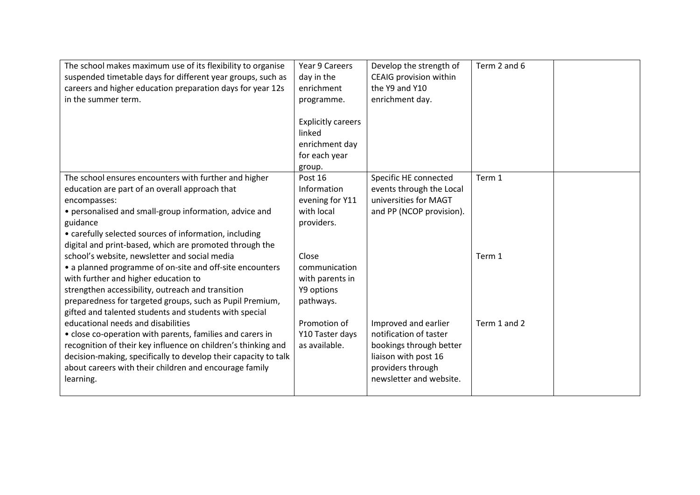| The school makes maximum use of its flexibility to organise<br>suspended timetable days for different year groups, such as<br>careers and higher education preparation days for year 12s<br>in the summer term.                                                                                                              | Year 9 Careers<br>day in the<br>enrichment<br>programme.<br><b>Explicitly careers</b><br>linked<br>enrichment day<br>for each year<br>group. | Develop the strength of<br>CEAIG provision within<br>the Y9 and Y10<br>enrichment day.                                                            | Term 2 and 6 |  |
|------------------------------------------------------------------------------------------------------------------------------------------------------------------------------------------------------------------------------------------------------------------------------------------------------------------------------|----------------------------------------------------------------------------------------------------------------------------------------------|---------------------------------------------------------------------------------------------------------------------------------------------------|--------------|--|
| The school ensures encounters with further and higher<br>education are part of an overall approach that<br>encompasses:<br>• personalised and small-group information, advice and<br>guidance<br>• carefully selected sources of information, including<br>digital and print-based, which are promoted through the           | Post 16<br>Information<br>evening for Y11<br>with local<br>providers.                                                                        | Specific HE connected<br>events through the Local<br>universities for MAGT<br>and PP (NCOP provision).                                            | Term 1       |  |
| school's website, newsletter and social media<br>• a planned programme of on-site and off-site encounters<br>with further and higher education to<br>strengthen accessibility, outreach and transition<br>preparedness for targeted groups, such as Pupil Premium,<br>gifted and talented students and students with special | Close<br>communication<br>with parents in<br>Y9 options<br>pathways.                                                                         |                                                                                                                                                   | Term 1       |  |
| educational needs and disabilities<br>• close co-operation with parents, families and carers in<br>recognition of their key influence on children's thinking and<br>decision-making, specifically to develop their capacity to talk<br>about careers with their children and encourage family<br>learning.                   | Promotion of<br>Y10 Taster days<br>as available.                                                                                             | Improved and earlier<br>notification of taster<br>bookings through better<br>liaison with post 16<br>providers through<br>newsletter and website. | Term 1 and 2 |  |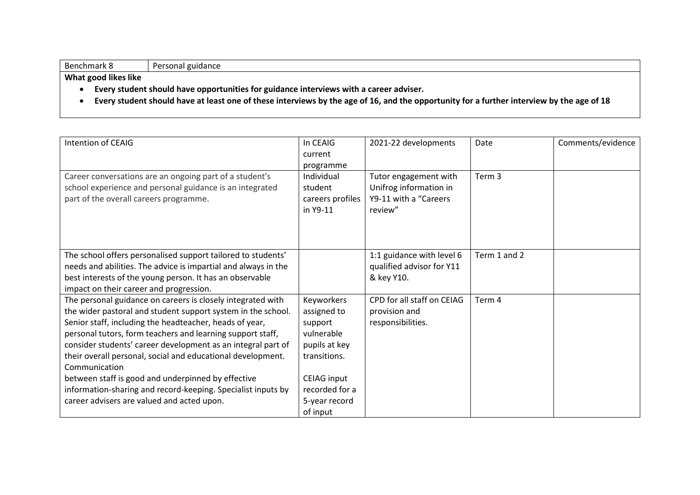#### Benchmark 8 Personal guidance

- **Every student should have opportunities for guidance interviews with a career adviser.**
- **Every student should have at least one of these interviews by the age of 16, and the opportunity for a further interview by the age of 18**

| Intention of CEAIG                                                                                                                                                                                                                                                                                                                                                                                                                                                                                                                                                       | In CEAIG<br>current<br>programme                                                                                                                         | 2021-22 developments                                                                 | Date         | Comments/evidence |
|--------------------------------------------------------------------------------------------------------------------------------------------------------------------------------------------------------------------------------------------------------------------------------------------------------------------------------------------------------------------------------------------------------------------------------------------------------------------------------------------------------------------------------------------------------------------------|----------------------------------------------------------------------------------------------------------------------------------------------------------|--------------------------------------------------------------------------------------|--------------|-------------------|
| Career conversations are an ongoing part of a student's<br>school experience and personal guidance is an integrated<br>part of the overall careers programme.                                                                                                                                                                                                                                                                                                                                                                                                            | Individual<br>student<br>careers profiles<br>in Y9-11                                                                                                    | Tutor engagement with<br>Unifrog information in<br>Y9-11 with a "Careers"<br>review" | Term 3       |                   |
| The school offers personalised support tailored to students'<br>needs and abilities. The advice is impartial and always in the<br>best interests of the young person. It has an observable<br>impact on their career and progression.                                                                                                                                                                                                                                                                                                                                    |                                                                                                                                                          | 1:1 guidance with level 6<br>qualified advisor for Y11<br>& key Y10.                 | Term 1 and 2 |                   |
| The personal guidance on careers is closely integrated with<br>the wider pastoral and student support system in the school.<br>Senior staff, including the headteacher, heads of year,<br>personal tutors, form teachers and learning support staff,<br>consider students' career development as an integral part of<br>their overall personal, social and educational development.<br>Communication<br>between staff is good and underpinned by effective<br>information-sharing and record-keeping. Specialist inputs by<br>career advisers are valued and acted upon. | Keyworkers<br>assigned to<br>support<br>vulnerable<br>pupils at key<br>transitions.<br><b>CEIAG input</b><br>recorded for a<br>5-year record<br>of input | CPD for all staff on CEIAG<br>provision and<br>responsibilities.                     | Term 4       |                   |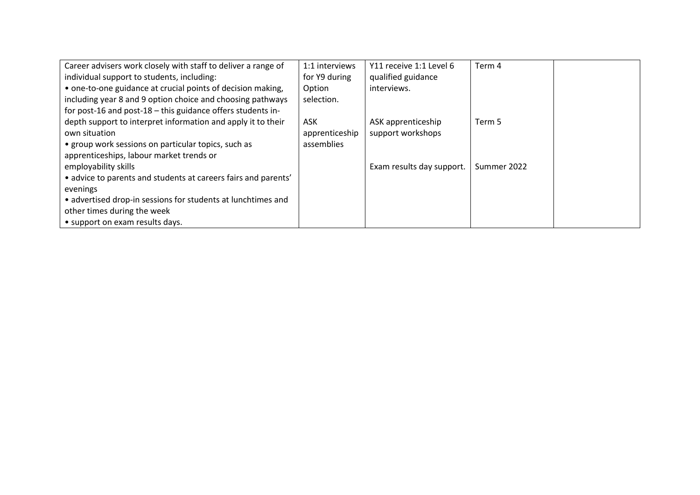| Career advisers work closely with staff to deliver a range of  | 1:1 interviews | Y11 receive 1:1 Level 6   | Term 4      |  |
|----------------------------------------------------------------|----------------|---------------------------|-------------|--|
| individual support to students, including:                     | for Y9 during  | qualified guidance        |             |  |
| • one-to-one guidance at crucial points of decision making,    | Option         | interviews.               |             |  |
| including year 8 and 9 option choice and choosing pathways     | selection.     |                           |             |  |
| for post-16 and post-18 - this guidance offers students in-    |                |                           |             |  |
| depth support to interpret information and apply it to their   | ASK            | ASK apprenticeship        | Term 5      |  |
| own situation                                                  | apprenticeship | support workshops         |             |  |
| • group work sessions on particular topics, such as            | assemblies     |                           |             |  |
| apprenticeships, labour market trends or                       |                |                           |             |  |
| employability skills                                           |                | Exam results day support. | Summer 2022 |  |
| • advice to parents and students at careers fairs and parents' |                |                           |             |  |
| evenings                                                       |                |                           |             |  |
| • advertised drop-in sessions for students at lunchtimes and   |                |                           |             |  |
| other times during the week                                    |                |                           |             |  |
| • support on exam results days.                                |                |                           |             |  |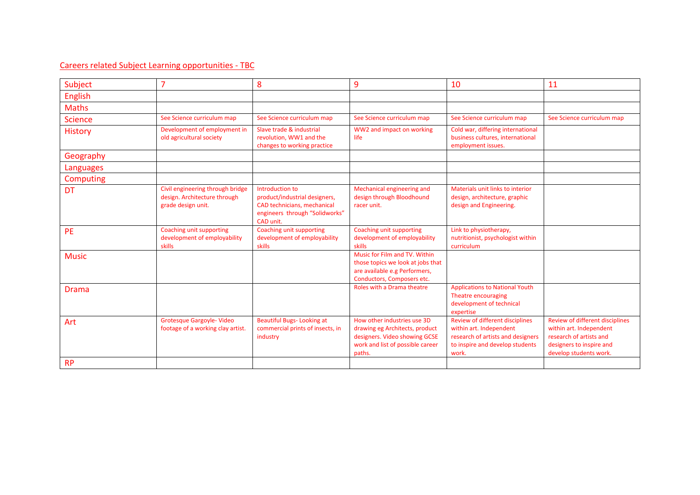#### Careers related Subject Learning opportunities - TBC

| Subject          | $\overline{7}$                                                                         | 8                                                                                                                              | 9                                                                                                                                            | 10                                                                                                                                                 | 11                                                                                                                                          |
|------------------|----------------------------------------------------------------------------------------|--------------------------------------------------------------------------------------------------------------------------------|----------------------------------------------------------------------------------------------------------------------------------------------|----------------------------------------------------------------------------------------------------------------------------------------------------|---------------------------------------------------------------------------------------------------------------------------------------------|
| <b>English</b>   |                                                                                        |                                                                                                                                |                                                                                                                                              |                                                                                                                                                    |                                                                                                                                             |
| <b>Maths</b>     |                                                                                        |                                                                                                                                |                                                                                                                                              |                                                                                                                                                    |                                                                                                                                             |
| <b>Science</b>   | See Science curriculum map                                                             | See Science curriculum map                                                                                                     | See Science curriculum map                                                                                                                   | See Science curriculum map                                                                                                                         | See Science curriculum map                                                                                                                  |
| <b>History</b>   | Development of employment in<br>old agricultural society                               | Slave trade & industrial<br>revolution, WW1 and the<br>changes to working practice                                             | WW2 and impact on working<br>life                                                                                                            | Cold war, differing international<br>business cultures, international<br>employment issues.                                                        |                                                                                                                                             |
| Geography        |                                                                                        |                                                                                                                                |                                                                                                                                              |                                                                                                                                                    |                                                                                                                                             |
| Languages        |                                                                                        |                                                                                                                                |                                                                                                                                              |                                                                                                                                                    |                                                                                                                                             |
| <b>Computing</b> |                                                                                        |                                                                                                                                |                                                                                                                                              |                                                                                                                                                    |                                                                                                                                             |
| <b>DT</b>        | Civil engineering through bridge<br>design. Architecture through<br>grade design unit. | Introduction to<br>product/industrial designers,<br>CAD technicians, mechanical<br>engineers through "Solidworks"<br>CAD unit. | Mechanical engineering and<br>design through Bloodhound<br>racer unit.                                                                       | Materials unit links to interior<br>design, architecture, graphic<br>design and Engineering.                                                       |                                                                                                                                             |
| <b>PE</b>        | Coaching unit supporting<br>development of employability<br>skills                     | Coaching unit supporting<br>development of employability<br>skills                                                             | Coaching unit supporting<br>development of employability<br>skills                                                                           | Link to physiotherapy,<br>nutritionist, psychologist within<br>curriculum                                                                          |                                                                                                                                             |
| <b>Music</b>     |                                                                                        |                                                                                                                                | Music for Film and TV, Within<br>those topics we look at jobs that<br>are available e.g Performers,<br>Conductors, Composers etc.            |                                                                                                                                                    |                                                                                                                                             |
| Drama            |                                                                                        |                                                                                                                                | Roles with a Drama theatre                                                                                                                   | <b>Applications to National Youth</b><br>Theatre encouraging<br>development of technical<br>expertise                                              |                                                                                                                                             |
| Art              | <b>Grotesque Gargoyle- Video</b><br>footage of a working clay artist.                  | <b>Beautiful Bugs-Looking at</b><br>commercial prints of insects, in<br>industry                                               | How other industries use 3D<br>drawing eg Architects, product<br>designers. Video showing GCSE<br>work and list of possible career<br>paths. | <b>Review of different disciplines</b><br>within art. Independent<br>research of artists and designers<br>to inspire and develop students<br>work. | Review of different disciplines<br>within art. Independent<br>research of artists and<br>designers to inspire and<br>develop students work. |
| <b>RP</b>        |                                                                                        |                                                                                                                                |                                                                                                                                              |                                                                                                                                                    |                                                                                                                                             |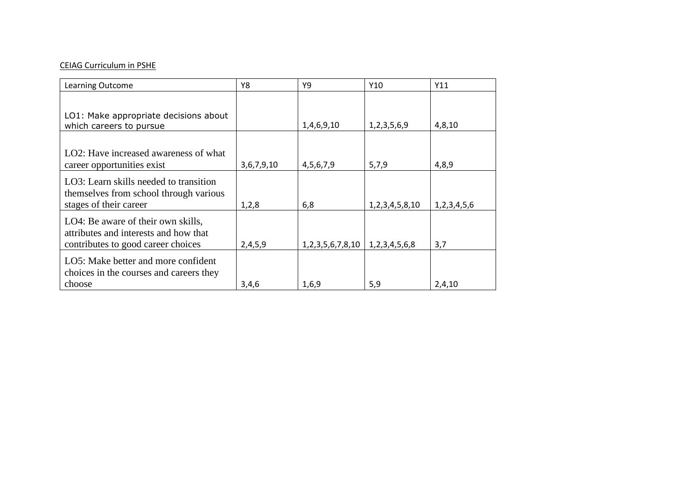#### CEIAG Curriculum in PSHE

| <b>Learning Outcome</b>                                                          | Y8         | Υ9                      | Y10                  | Y11         |
|----------------------------------------------------------------------------------|------------|-------------------------|----------------------|-------------|
|                                                                                  |            |                         |                      |             |
| LO1: Make appropriate decisions about<br>which careers to pursue                 |            | 1,4,6,9,10              | 1,2,3,5,6,9          | 4,8,10      |
|                                                                                  |            |                         |                      |             |
| LO2: Have increased awareness of what                                            |            |                         |                      |             |
| career opportunities exist                                                       | 3,6,7,9,10 | 4,5,6,7,9               | 5,7,9                | 4,8,9       |
| LO3: Learn skills needed to transition<br>themselves from school through various |            |                         |                      |             |
| stages of their career                                                           | 1,2,8      | 6,8                     | 1, 2, 3, 4, 5, 8, 10 | 1,2,3,4,5,6 |
| LO4: Be aware of their own skills,<br>attributes and interests and how that      |            |                         |                      |             |
| contributes to good career choices                                               | 2,4,5,9    | 1, 2, 3, 5, 6, 7, 8, 10 | 1, 2, 3, 4, 5, 6, 8  | 3,7         |
| LO5: Make better and more confident<br>choices in the courses and careers they   |            |                         |                      |             |
| choose                                                                           | 3,4,6      | 1,6,9                   | 5,9                  | 2,4,10      |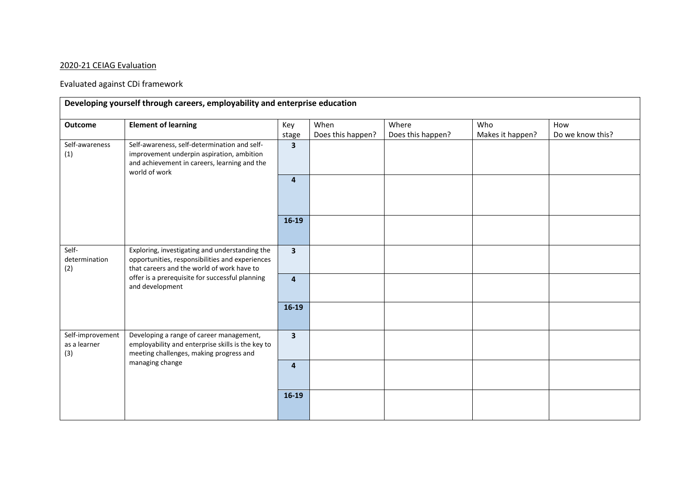### 2020-21 CEIAG Evaluation

# Evaluated against CDi framework

| <b>Outcome</b>                                                                                                                                                                                                                                         | <b>Element of learning</b> | Key<br>stage            | When<br>Does this happen? | Where<br>Does this happen? | Who<br>Makes it happen? | How<br>Do we know this? |
|--------------------------------------------------------------------------------------------------------------------------------------------------------------------------------------------------------------------------------------------------------|----------------------------|-------------------------|---------------------------|----------------------------|-------------------------|-------------------------|
| Self-awareness, self-determination and self-<br>Self-awareness<br>improvement underpin aspiration, ambition<br>(1)<br>and achievement in careers, learning and the<br>world of work                                                                    |                            | $\overline{\mathbf{3}}$ |                           |                            |                         |                         |
|                                                                                                                                                                                                                                                        | $\overline{\mathbf{4}}$    |                         |                           |                            |                         |                         |
|                                                                                                                                                                                                                                                        |                            | $16-19$                 |                           |                            |                         |                         |
| Self-<br>Exploring, investigating and understanding the<br>opportunities, responsibilities and experiences<br>determination<br>that careers and the world of work have to<br>(2)<br>offer is a prerequisite for successful planning<br>and development |                            | $\mathbf{3}$            |                           |                            |                         |                         |
|                                                                                                                                                                                                                                                        | $\overline{4}$             |                         |                           |                            |                         |                         |
|                                                                                                                                                                                                                                                        | $16-19$                    |                         |                           |                            |                         |                         |
| Self-improvement<br>Developing a range of career management,<br>employability and enterprise skills is the key to<br>as a learner<br>(3)<br>meeting challenges, making progress and<br>managing change                                                 |                            | $\overline{\mathbf{3}}$ |                           |                            |                         |                         |
|                                                                                                                                                                                                                                                        | $\overline{\mathbf{4}}$    |                         |                           |                            |                         |                         |
|                                                                                                                                                                                                                                                        |                            | $16-19$                 |                           |                            |                         |                         |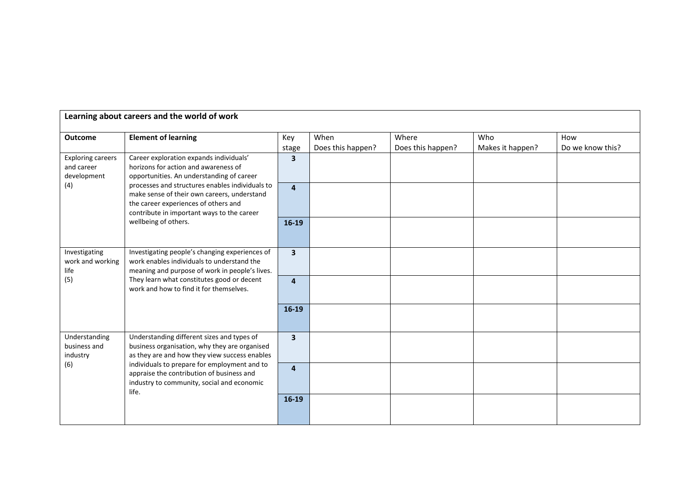| Learning about careers and the world of work                                                                                                                                                                                                       |                                                                                                                              |                         |                   |                   |                  |                  |  |  |
|----------------------------------------------------------------------------------------------------------------------------------------------------------------------------------------------------------------------------------------------------|------------------------------------------------------------------------------------------------------------------------------|-------------------------|-------------------|-------------------|------------------|------------------|--|--|
|                                                                                                                                                                                                                                                    |                                                                                                                              |                         |                   |                   |                  |                  |  |  |
| <b>Outcome</b>                                                                                                                                                                                                                                     | <b>Element of learning</b>                                                                                                   | Key                     | When              | Where             | Who              | How              |  |  |
|                                                                                                                                                                                                                                                    |                                                                                                                              | stage                   | Does this happen? | Does this happen? | Makes it happen? | Do we know this? |  |  |
| <b>Exploring careers</b><br>and career<br>development                                                                                                                                                                                              | Career exploration expands individuals'<br>horizons for action and awareness of<br>opportunities. An understanding of career | $\overline{\mathbf{3}}$ |                   |                   |                  |                  |  |  |
| processes and structures enables individuals to<br>(4)<br>make sense of their own careers, understand<br>the career experiences of others and<br>contribute in important ways to the career<br>wellbeing of others.                                | $\overline{\mathbf{4}}$                                                                                                      |                         |                   |                   |                  |                  |  |  |
|                                                                                                                                                                                                                                                    | $16-19$                                                                                                                      |                         |                   |                   |                  |                  |  |  |
| Investigating<br>Investigating people's changing experiences of<br>work enables individuals to understand the<br>work and working<br>meaning and purpose of work in people's lives.<br>life                                                        | $\overline{\mathbf{3}}$                                                                                                      |                         |                   |                   |                  |                  |  |  |
| (5)                                                                                                                                                                                                                                                | They learn what constitutes good or decent<br>work and how to find it for themselves.                                        | $\overline{\mathbf{4}}$ |                   |                   |                  |                  |  |  |
|                                                                                                                                                                                                                                                    |                                                                                                                              | $16-19$                 |                   |                   |                  |                  |  |  |
| Understanding different sizes and types of<br>Understanding<br>business and<br>industry<br>individuals to prepare for employment and to<br>(6)<br>appraise the contribution of business and<br>industry to community, social and economic<br>life. | business organisation, why they are organised<br>as they are and how they view success enables                               | $\overline{\mathbf{3}}$ |                   |                   |                  |                  |  |  |
|                                                                                                                                                                                                                                                    | $\overline{4}$                                                                                                               |                         |                   |                   |                  |                  |  |  |
|                                                                                                                                                                                                                                                    | $16-19$                                                                                                                      |                         |                   |                   |                  |                  |  |  |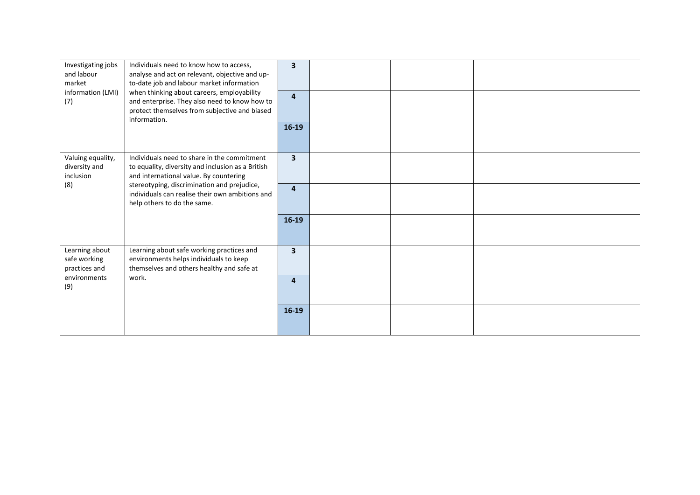| Investigating jobs<br>and labour<br>market<br>information (LMI)<br>(7) | Individuals need to know how to access,<br>analyse and act on relevant, objective and up-<br>to-date job and labour market information<br>when thinking about careers, employability<br>and enterprise. They also need to know how to<br>protect themselves from subjective and biased | $\overline{\mathbf{3}}$<br>$\overline{4}$ |  |  |
|------------------------------------------------------------------------|----------------------------------------------------------------------------------------------------------------------------------------------------------------------------------------------------------------------------------------------------------------------------------------|-------------------------------------------|--|--|
|                                                                        | information.                                                                                                                                                                                                                                                                           | $16-19$                                   |  |  |
| Valuing equality,<br>diversity and<br>inclusion<br>(8)                 | Individuals need to share in the commitment<br>to equality, diversity and inclusion as a British<br>and international value. By countering<br>stereotyping, discrimination and prejudice,                                                                                              | $\overline{\mathbf{3}}$                   |  |  |
|                                                                        | individuals can realise their own ambitions and<br>help others to do the same.                                                                                                                                                                                                         | $\overline{4}$                            |  |  |
|                                                                        |                                                                                                                                                                                                                                                                                        | $16-19$                                   |  |  |
| Learning about<br>safe working<br>practices and                        | Learning about safe working practices and<br>environments helps individuals to keep<br>themselves and others healthy and safe at                                                                                                                                                       | $\overline{\mathbf{3}}$                   |  |  |
| environments<br>(9)                                                    | work.                                                                                                                                                                                                                                                                                  | 4                                         |  |  |
|                                                                        |                                                                                                                                                                                                                                                                                        | $16-19$                                   |  |  |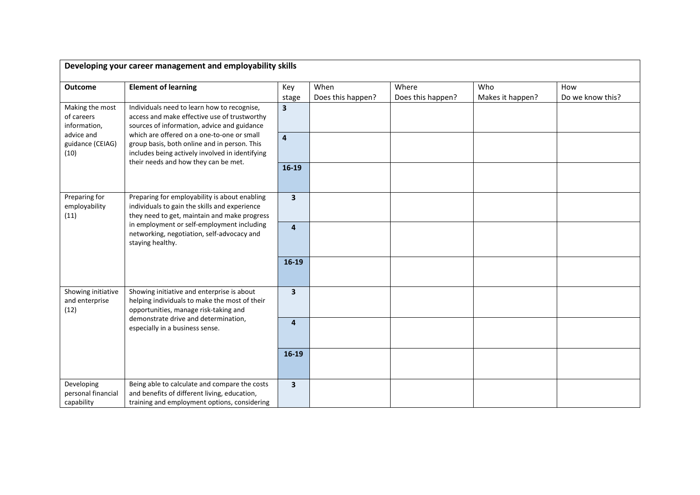| Developing your career management and employability skills                                                   |                                                                                                                                                                                       |                         |                           |                            |                         |                         |  |
|--------------------------------------------------------------------------------------------------------------|---------------------------------------------------------------------------------------------------------------------------------------------------------------------------------------|-------------------------|---------------------------|----------------------------|-------------------------|-------------------------|--|
| <b>Outcome</b>                                                                                               | <b>Element of learning</b>                                                                                                                                                            | Key<br>stage            | When<br>Does this happen? | Where<br>Does this happen? | Who<br>Makes it happen? | How<br>Do we know this? |  |
| Making the most<br>of careers<br>information,                                                                | Individuals need to learn how to recognise,<br>access and make effective use of trustworthy<br>sources of information, advice and guidance                                            | 3 <sup>1</sup>          |                           |                            |                         |                         |  |
| advice and<br>guidance (CEIAG)<br>(10)                                                                       | which are offered on a one-to-one or small<br>group basis, both online and in person. This<br>includes being actively involved in identifying<br>their needs and how they can be met. | $\overline{\mathbf{4}}$ |                           |                            |                         |                         |  |
|                                                                                                              | $16-19$                                                                                                                                                                               |                         |                           |                            |                         |                         |  |
| Preparing for<br>employability<br>(11)                                                                       | Preparing for employability is about enabling<br>individuals to gain the skills and experience<br>they need to get, maintain and make progress                                        | $\overline{\mathbf{3}}$ |                           |                            |                         |                         |  |
| in employment or self-employment including<br>networking, negotiation, self-advocacy and<br>staying healthy. | $\overline{4}$                                                                                                                                                                        |                         |                           |                            |                         |                         |  |
|                                                                                                              |                                                                                                                                                                                       | $16-19$                 |                           |                            |                         |                         |  |
| Showing initiative<br>and enterprise<br>(12)                                                                 | Showing initiative and enterprise is about<br>helping individuals to make the most of their<br>opportunities, manage risk-taking and                                                  | $\overline{\mathbf{3}}$ |                           |                            |                         |                         |  |
| demonstrate drive and determination,<br>especially in a business sense.                                      | $\overline{4}$                                                                                                                                                                        |                         |                           |                            |                         |                         |  |
|                                                                                                              |                                                                                                                                                                                       | $16-19$                 |                           |                            |                         |                         |  |
| Developing<br>personal financial<br>capability                                                               | Being able to calculate and compare the costs<br>and benefits of different living, education,<br>training and employment options, considering                                         | 3                       |                           |                            |                         |                         |  |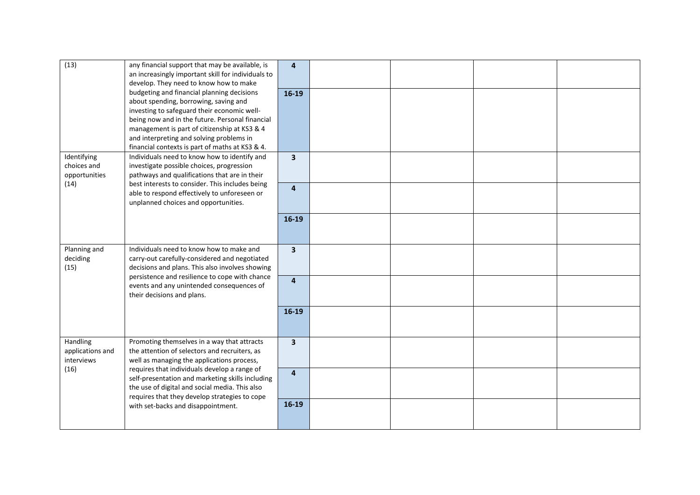| (13)                                                | any financial support that may be available, is<br>an increasingly important skill for individuals to                                                                                                                                                                                                                                                                                   | $\overline{a}$          |  |  |
|-----------------------------------------------------|-----------------------------------------------------------------------------------------------------------------------------------------------------------------------------------------------------------------------------------------------------------------------------------------------------------------------------------------------------------------------------------------|-------------------------|--|--|
|                                                     | develop. They need to know how to make<br>budgeting and financial planning decisions<br>about spending, borrowing, saving and<br>investing to safeguard their economic well-<br>being now and in the future. Personal financial<br>management is part of citizenship at KS3 & 4                                                                                                         | $16-19$                 |  |  |
|                                                     | and interpreting and solving problems in<br>financial contexts is part of maths at KS3 & 4.                                                                                                                                                                                                                                                                                             |                         |  |  |
| Identifying<br>choices and<br>opportunities<br>(14) | Individuals need to know how to identify and<br>investigate possible choices, progression<br>pathways and qualifications that are in their<br>best interests to consider. This includes being<br>able to respond effectively to unforeseen or<br>unplanned choices and opportunities.                                                                                                   | $\overline{\mathbf{3}}$ |  |  |
|                                                     |                                                                                                                                                                                                                                                                                                                                                                                         | $\overline{\mathbf{4}}$ |  |  |
|                                                     |                                                                                                                                                                                                                                                                                                                                                                                         | $16-19$                 |  |  |
| Planning and<br>deciding<br>(15)                    | Individuals need to know how to make and<br>carry-out carefully-considered and negotiated<br>decisions and plans. This also involves showing<br>persistence and resilience to cope with chance<br>events and any unintended consequences of<br>their decisions and plans.                                                                                                               | $\overline{\mathbf{3}}$ |  |  |
|                                                     |                                                                                                                                                                                                                                                                                                                                                                                         | $\overline{4}$          |  |  |
|                                                     |                                                                                                                                                                                                                                                                                                                                                                                         | $16-19$                 |  |  |
| Handling<br>applications and<br>interviews<br>(16)  | Promoting themselves in a way that attracts<br>the attention of selectors and recruiters, as<br>well as managing the applications process,<br>requires that individuals develop a range of<br>self-presentation and marketing skills including<br>the use of digital and social media. This also<br>requires that they develop strategies to cope<br>with set-backs and disappointment. | $\overline{\mathbf{3}}$ |  |  |
|                                                     |                                                                                                                                                                                                                                                                                                                                                                                         | $\overline{4}$          |  |  |
|                                                     |                                                                                                                                                                                                                                                                                                                                                                                         | $16-19$                 |  |  |